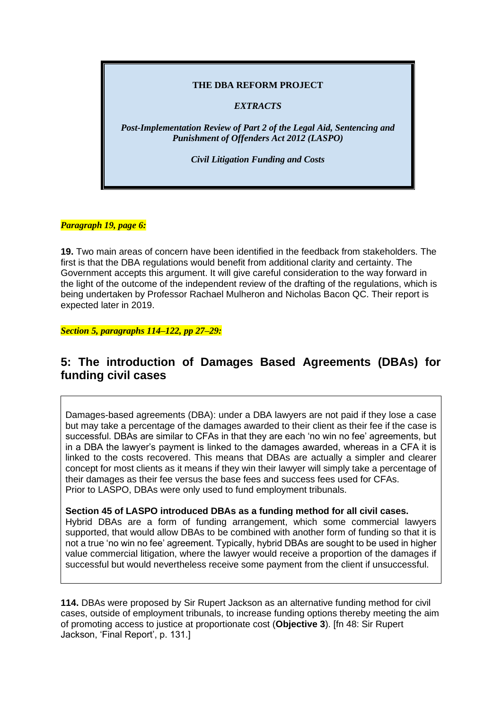## **THE DBA REFORM PROJECT**

## *EXTRACTS*

*Post-Implementation Review of Part 2 of the Legal Aid, Sentencing and Punishment of Offenders Act 2012 (LASPO)*

*Civil Litigation Funding and Costs*

## *Paragraph 19, page 6:*

**19.** Two main areas of concern have been identified in the feedback from stakeholders. The first is that the DBA regulations would benefit from additional clarity and certainty. The Government accepts this argument. It will give careful consideration to the way forward in the light of the outcome of the independent review of the drafting of the regulations, which is being undertaken by Professor Rachael Mulheron and Nicholas Bacon QC. Their report is expected later in 2019.

*Section 5, paragraphs 114–122, pp 27–29:*

## **5: The introduction of Damages Based Agreements (DBAs) for funding civil cases**

Damages-based agreements (DBA): under a DBA lawyers are not paid if they lose a case but may take a percentage of the damages awarded to their client as their fee if the case is successful. DBAs are similar to CFAs in that they are each 'no win no fee' agreements, but in a DBA the lawyer's payment is linked to the damages awarded, whereas in a CFA it is linked to the costs recovered. This means that DBAs are actually a simpler and clearer concept for most clients as it means if they win their lawyer will simply take a percentage of their damages as their fee versus the base fees and success fees used for CFAs. Prior to LASPO, DBAs were only used to fund employment tribunals.

**Section 45 of LASPO introduced DBAs as a funding method for all civil cases.** 

Hybrid DBAs are a form of funding arrangement, which some commercial lawyers supported, that would allow DBAs to be combined with another form of funding so that it is not a true 'no win no fee' agreement. Typically, hybrid DBAs are sought to be used in higher value commercial litigation, where the lawyer would receive a proportion of the damages if successful but would nevertheless receive some payment from the client if unsuccessful.

**114.** DBAs were proposed by Sir Rupert Jackson as an alternative funding method for civil cases, outside of employment tribunals, to increase funding options thereby meeting the aim of promoting access to justice at proportionate cost (**Objective 3**). [fn 48: Sir Rupert Jackson, 'Final Report', p. 131.]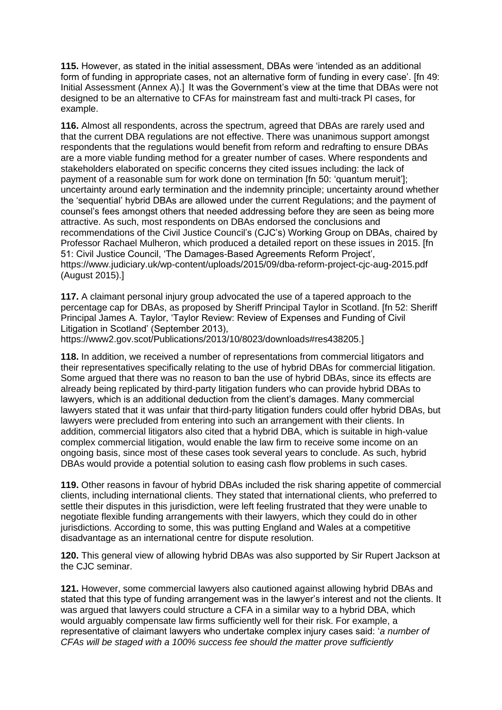**115.** However, as stated in the initial assessment, DBAs were 'intended as an additional form of funding in appropriate cases, not an alternative form of funding in every case'. [fn 49: Initial Assessment (Annex A).] It was the Government's view at the time that DBAs were not designed to be an alternative to CFAs for mainstream fast and multi-track PI cases, for example.

**116.** Almost all respondents, across the spectrum, agreed that DBAs are rarely used and that the current DBA regulations are not effective. There was unanimous support amongst respondents that the regulations would benefit from reform and redrafting to ensure DBAs are a more viable funding method for a greater number of cases. Where respondents and stakeholders elaborated on specific concerns they cited issues including: the lack of payment of a reasonable sum for work done on termination [fn 50: 'quantum meruit']; uncertainty around early termination and the indemnity principle; uncertainty around whether the 'sequential' hybrid DBAs are allowed under the current Regulations; and the payment of counsel's fees amongst others that needed addressing before they are seen as being more attractive. As such, most respondents on DBAs endorsed the conclusions and recommendations of the Civil Justice Council's (CJC's) Working Group on DBAs, chaired by Professor Rachael Mulheron, which produced a detailed report on these issues in 2015. [fn 51: Civil Justice Council, 'The Damages-Based Agreements Reform Project', https://www.judiciary.uk/wp-content/uploads/2015/09/dba-reform-project-cjc-aug-2015.pdf (August 2015).]

**117.** A claimant personal injury group advocated the use of a tapered approach to the percentage cap for DBAs, as proposed by Sheriff Principal Taylor in Scotland. [fn 52: Sheriff Principal James A. Taylor, 'Taylor Review: Review of Expenses and Funding of Civil Litigation in Scotland' (September 2013),

https://www2.gov.scot/Publications/2013/10/8023/downloads#res438205.]

**118.** In addition, we received a number of representations from commercial litigators and their representatives specifically relating to the use of hybrid DBAs for commercial litigation. Some argued that there was no reason to ban the use of hybrid DBAs, since its effects are already being replicated by third-party litigation funders who can provide hybrid DBAs to lawyers, which is an additional deduction from the client's damages. Many commercial lawyers stated that it was unfair that third-party litigation funders could offer hybrid DBAs, but lawyers were precluded from entering into such an arrangement with their clients. In addition, commercial litigators also cited that a hybrid DBA, which is suitable in high-value complex commercial litigation, would enable the law firm to receive some income on an ongoing basis, since most of these cases took several years to conclude. As such, hybrid DBAs would provide a potential solution to easing cash flow problems in such cases.

**119.** Other reasons in favour of hybrid DBAs included the risk sharing appetite of commercial clients, including international clients. They stated that international clients, who preferred to settle their disputes in this jurisdiction, were left feeling frustrated that they were unable to negotiate flexible funding arrangements with their lawyers, which they could do in other jurisdictions. According to some, this was putting England and Wales at a competitive disadvantage as an international centre for dispute resolution.

**120.** This general view of allowing hybrid DBAs was also supported by Sir Rupert Jackson at the CJC seminar.

**121.** However, some commercial lawyers also cautioned against allowing hybrid DBAs and stated that this type of funding arrangement was in the lawyer's interest and not the clients. It was argued that lawyers could structure a CFA in a similar way to a hybrid DBA, which would arguably compensate law firms sufficiently well for their risk. For example, a representative of claimant lawyers who undertake complex injury cases said: '*a number of CFAs will be staged with a 100% success fee should the matter prove sufficiently*